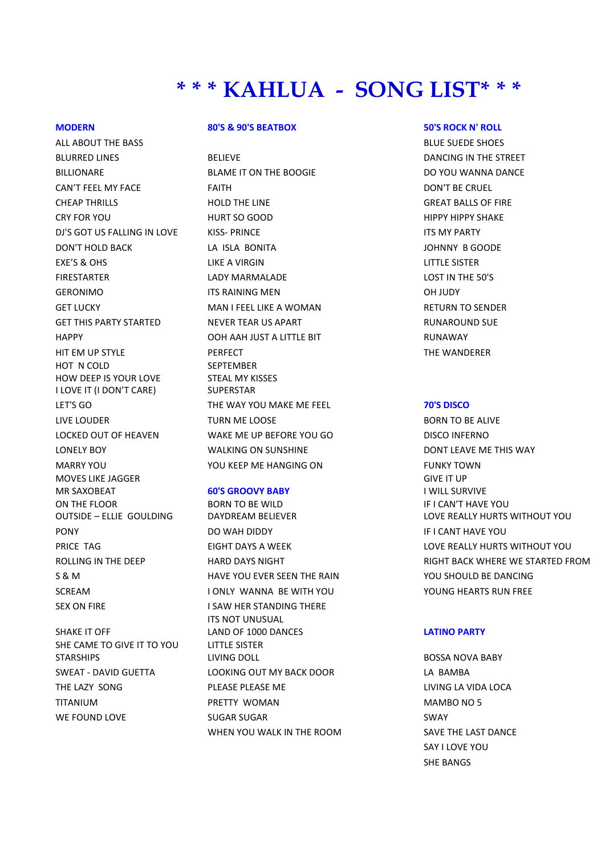# **\* \* \* KAHLUA - SONG LIST\* \* \***

ALL ABOUT THE BASS AND RESIDENCE SUEDER SHOES AND RELATIONS AND RELATIONS AND RELATIONS AND RELATIONS AND RELATIONS AND RELATIONS AND RELATIONS AND RELATIONS AND RELATIONS AND RELATIONS AND RELATIONS AND RELATIONS AND RELA HOT N COLD HOW DEEP IS YOUR LOVE I LOVE IT (I DON'T CARE) MOVES LIKE JAGGER MR SAXOBEAT **60'S GROOVY BABY**  ON THE FLOOR OUTSIDE – ELLIE GOULDING SEX ON FIRE I SAW HER STANDING THERE SHAKE IT OFF

SHE CAME TO GIVE IT TO YOU STARSHIPS

## **MODERN 80'S & 90'S BEATBOX 50'S ROCK N' ROLL**

BLURRED LINES **BELIEVE** BELIEVE **BELIEVE BELIEVE DANCING IN THE STREET** BILLIONARE BLAME IT ON THE BOOGIE BLAME IT ON THE BOOGIE CAN'T FEEL MY FACE FAITH FAITH CRUEL BOON'T BE CRUEL CHEAP THRILLS HOLD THE LINE GREAT BALLS OF FIRE CRY FOR YOU HURT SO GOOD HIPPY HIPPY SHAKE DJ'S GOT US FALLING IN LOVE KISS- PRINCE THE MY PARTY ITS MY PARTY DON'T HOLD BACK LA ISLA BONITA JOHNNY B GOODE EXE'S & OHS LIKE A VIRGIN LITTLE SISTER FIRESTARTER LADY MARMALADE LOST IN THE 50'S GERONIMO ITS RAINING MEN OH JUDY GET LUCKY **EXAMPLE A MAN I FEEL LIKE A WOMAN** RETURN TO SENDER GET THIS PARTY STARTED THE NEVER TEAR US APART THE RUNAROUND SUE HAPPY OOH AAH JUST A LITTLE BIT RUNAWAY HIT EM UP STYLE PERFECT PERFECT THE WANDERER **SEPTEMBER** STEAL MY KISSES **SUPERSTAR** LET'S GO THE WAY YOU MAKE ME FEEL **70'S DISCO** LIVE LOUDER TURN ME LOOSE TO BORN TO BE ALIVE LOCKED OUT OF HEAVEN WAKE ME UP BEFORE YOU GO DISCO INFERNO LONELY BOY **WALKING ON SUNSHINE DONT LEAVE ME THIS WAY** MARRY YOU YOU KEEP ME HANGING ON FUNKY TOWN

BORN TO BE WILD DAYDREAM BELIEVER PONY DO WAH DIDDY IF I CANT HAVE YOU S & M HAVE YOU EVER SEEN THE RAIN YOU SHOULD BE DANCING SCREAM I ONLY WANNA BE WITH YOU THE YOUNG HEARTS RUN FREE ITS NOT UNUSUAL LAND OF 1000 DANCES **LATINO PARTY** LITTLE SISTER LIVING DOLL BOSSA NOVA BABY SWEAT - DAVID GUETTA LOOKING OUT MY BACK DOOR LA BAMBA THE LAZY SONG THE PLEASE PLEASE ME THE LAZY SONG THE LAZY SONG TITANIUM PRETTY WOMAN MAMBO NO 5 WE FOUND LOVE GUGAR SUGAR SUGAR SUGAR SUGAR SUGAR SOMAY WHEN YOU WALK IN THE ROOM SAVE THE LAST DANCE

GIVE IT UP I WILL SURVIVE IF I CAN'T HAVE YOU LOVE REALLY HURTS WITHOUT YOU PRICE TAG EIGHT DAYS A WEEK LOVE REALLY HURTS WITHOUT YOU ROLLING IN THE DEEP **HARD DAYS NIGHT RIGHT RIGHT BACK WHERE WE STARTED FROM** 

SAY I LOVE YOU SHE BANGS